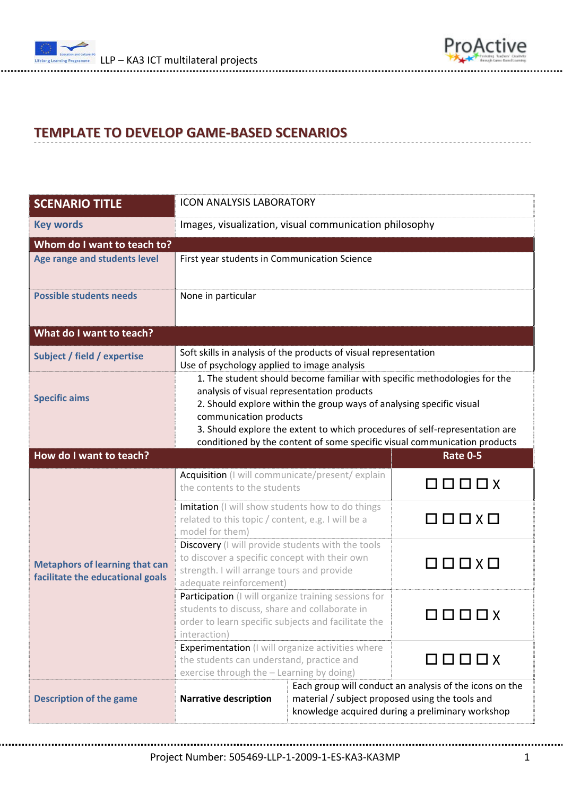



## **TEMPLATE TO DEVELOP GAME‐BASED SCENARIOS**

| <b>SCENARIO TITLE</b>                                                     | <b>ICON ANALYSIS LABORATORY</b>                                                                                                                                                                                                                                                                                                                                                       |                                                                                                                                                                |                                                  |  |
|---------------------------------------------------------------------------|---------------------------------------------------------------------------------------------------------------------------------------------------------------------------------------------------------------------------------------------------------------------------------------------------------------------------------------------------------------------------------------|----------------------------------------------------------------------------------------------------------------------------------------------------------------|--------------------------------------------------|--|
| <b>Key words</b>                                                          | Images, visualization, visual communication philosophy                                                                                                                                                                                                                                                                                                                                |                                                                                                                                                                |                                                  |  |
| Whom do I want to teach to?                                               |                                                                                                                                                                                                                                                                                                                                                                                       |                                                                                                                                                                |                                                  |  |
| Age range and students level                                              | First year students in Communication Science                                                                                                                                                                                                                                                                                                                                          |                                                                                                                                                                |                                                  |  |
| <b>Possible students needs</b>                                            | None in particular                                                                                                                                                                                                                                                                                                                                                                    |                                                                                                                                                                |                                                  |  |
| What do I want to teach?                                                  |                                                                                                                                                                                                                                                                                                                                                                                       |                                                                                                                                                                |                                                  |  |
| <b>Subject / field / expertise</b>                                        | Soft skills in analysis of the products of visual representation<br>Use of psychology applied to image analysis                                                                                                                                                                                                                                                                       |                                                                                                                                                                |                                                  |  |
| <b>Specific aims</b>                                                      | 1. The student should become familiar with specific methodologies for the<br>analysis of visual representation products<br>2. Should explore within the group ways of analysing specific visual<br>communication products<br>3. Should explore the extent to which procedures of self-representation are<br>conditioned by the content of some specific visual communication products |                                                                                                                                                                |                                                  |  |
| How do I want to teach?                                                   |                                                                                                                                                                                                                                                                                                                                                                                       |                                                                                                                                                                | Rate 0-5                                         |  |
| <b>Metaphors of learning that can</b><br>facilitate the educational goals | Acquisition (I will communicate/present/explain<br>the contents to the students                                                                                                                                                                                                                                                                                                       |                                                                                                                                                                | 0000x                                            |  |
|                                                                           | Imitation (I will show students how to do things<br>related to this topic / content, e.g. I will be a<br>model for them)                                                                                                                                                                                                                                                              |                                                                                                                                                                | $\square$ $\square$ $\square$ $\times$ $\square$ |  |
|                                                                           | Discovery (I will provide students with the tools<br>to discover a specific concept with their own<br>strength. I will arrange tours and provide<br>adequate reinforcement)                                                                                                                                                                                                           |                                                                                                                                                                | $\square$ $\square$ $\square$ $\times$ $\square$ |  |
|                                                                           | Participation (I will organize training sessions for<br>students to discuss, share and collaborate in<br>order to learn specific subjects and facilitate the<br>interaction)                                                                                                                                                                                                          |                                                                                                                                                                |                                                  |  |
|                                                                           | Experimentation (I will organize activities where<br>the students can understand, practice and<br>exercise through the - Learning by doing)                                                                                                                                                                                                                                           |                                                                                                                                                                | $\Box$                                           |  |
| <b>Description of the game</b>                                            | <b>Narrative description</b>                                                                                                                                                                                                                                                                                                                                                          | Each group will conduct an analysis of the icons on the<br>material / subject proposed using the tools and<br>knowledge acquired during a preliminary workshop |                                                  |  |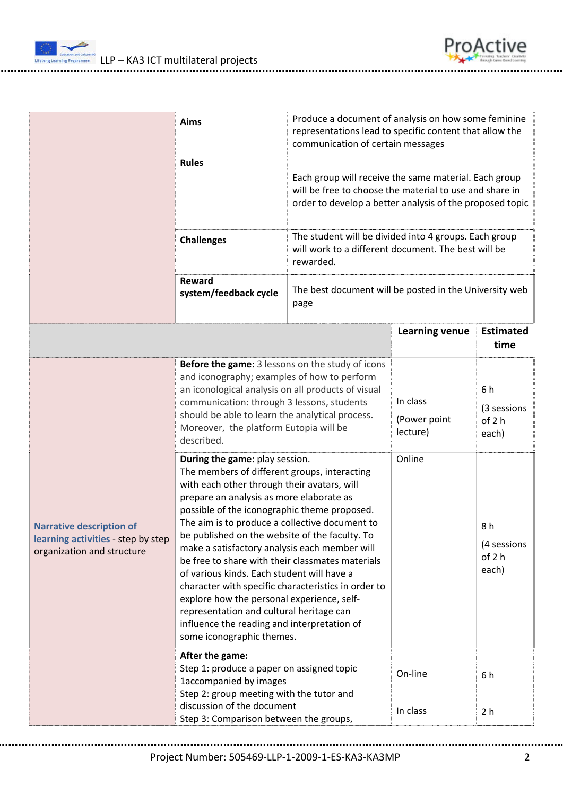

| ProActive |                                             |  |
|-----------|---------------------------------------------|--|
|           | tg Toedwri' Onethilly<br>Gave Based Loaming |  |

|                                                                                                     | Aims                                                                                                                                                                                                                                                                                                                                                                                                                                                                                                                                                                                                                                                                                                                                                                                                                                                      | Produce a document of analysis on how some feminine<br>representations lead to specific content that allow the<br>communication of certain messages |                                                                                                                                                                              |                                                                                                              |  |
|-----------------------------------------------------------------------------------------------------|-----------------------------------------------------------------------------------------------------------------------------------------------------------------------------------------------------------------------------------------------------------------------------------------------------------------------------------------------------------------------------------------------------------------------------------------------------------------------------------------------------------------------------------------------------------------------------------------------------------------------------------------------------------------------------------------------------------------------------------------------------------------------------------------------------------------------------------------------------------|-----------------------------------------------------------------------------------------------------------------------------------------------------|------------------------------------------------------------------------------------------------------------------------------------------------------------------------------|--------------------------------------------------------------------------------------------------------------|--|
|                                                                                                     | <b>Rules</b>                                                                                                                                                                                                                                                                                                                                                                                                                                                                                                                                                                                                                                                                                                                                                                                                                                              |                                                                                                                                                     | Each group will receive the same material. Each group<br>will be free to choose the material to use and share in<br>order to develop a better analysis of the proposed topic |                                                                                                              |  |
|                                                                                                     | <b>Challenges</b>                                                                                                                                                                                                                                                                                                                                                                                                                                                                                                                                                                                                                                                                                                                                                                                                                                         | rewarded.                                                                                                                                           |                                                                                                                                                                              | The student will be divided into 4 groups. Each group<br>will work to a different document. The best will be |  |
|                                                                                                     | Reward<br>system/feedback cycle                                                                                                                                                                                                                                                                                                                                                                                                                                                                                                                                                                                                                                                                                                                                                                                                                           | The best document will be posted in the University web<br>page                                                                                      |                                                                                                                                                                              |                                                                                                              |  |
|                                                                                                     |                                                                                                                                                                                                                                                                                                                                                                                                                                                                                                                                                                                                                                                                                                                                                                                                                                                           |                                                                                                                                                     | <b>Learning venue</b>                                                                                                                                                        | <b>Estimated</b><br>time                                                                                     |  |
| <b>Narrative description of</b><br>learning activities - step by step<br>organization and structure | Before the game: 3 lessons on the study of icons<br>and iconography; examples of how to perform<br>an iconological analysis on all products of visual<br>communication: through 3 lessons, students<br>should be able to learn the analytical process.<br>Moreover, the platform Eutopia will be<br>described.<br>During the game: play session.<br>The members of different groups, interacting<br>with each other through their avatars, will<br>prepare an analysis as more elaborate as<br>possible of the iconographic theme proposed.<br>The aim is to produce a collective document to<br>be published on the website of the faculty. To<br>make a satisfactory analysis each member will<br>be free to share with their classmates materials<br>of various kinds. Each student will have a<br>character with specific characteristics in order to |                                                                                                                                                     | In class<br>(Power point<br>lecture)<br>Online                                                                                                                               | 6 h<br>(3 sessions<br>of 2 h<br>each)<br>8h<br>(4 sessions<br>of 2 h<br>each)                                |  |
|                                                                                                     | explore how the personal experience, self-<br>representation and cultural heritage can<br>influence the reading and interpretation of<br>some iconographic themes.                                                                                                                                                                                                                                                                                                                                                                                                                                                                                                                                                                                                                                                                                        |                                                                                                                                                     |                                                                                                                                                                              |                                                                                                              |  |
|                                                                                                     | After the game:<br>Step 1: produce a paper on assigned topic<br>1accompanied by images<br>Step 2: group meeting with the tutor and                                                                                                                                                                                                                                                                                                                                                                                                                                                                                                                                                                                                                                                                                                                        |                                                                                                                                                     | On-line                                                                                                                                                                      | 6 h                                                                                                          |  |
|                                                                                                     | discussion of the document<br>Step 3: Comparison between the groups,                                                                                                                                                                                                                                                                                                                                                                                                                                                                                                                                                                                                                                                                                                                                                                                      |                                                                                                                                                     | In class                                                                                                                                                                     | 2 <sub>h</sub>                                                                                               |  |